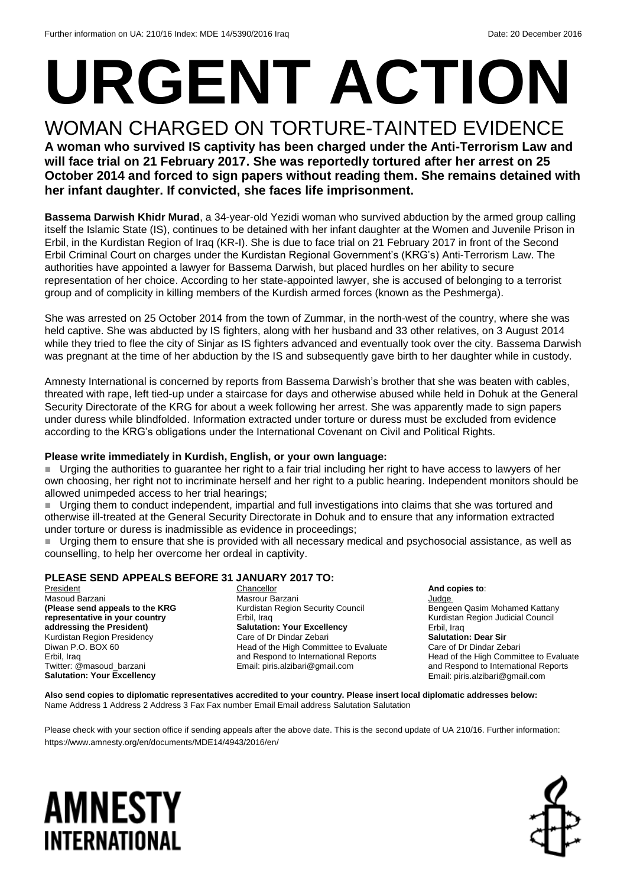# **URGENT ACTION**

WOMAN CHARGED ON TORTURE-TAINTED EVIDENCE **A woman who survived IS captivity has been charged under the Anti-Terrorism Law and will face trial on 21 February 2017. She was reportedly tortured after her arrest on 25 October 2014 and forced to sign papers without reading them. She remains detained with her infant daughter. If convicted, she faces life imprisonment.** 

**Bassema Darwish Khidr Murad**, a 34-year-old Yezidi woman who survived abduction by the armed group calling itself the Islamic State (IS), continues to be detained with her infant daughter at the Women and Juvenile Prison in Erbil, in the Kurdistan Region of Iraq (KR-I). She is due to face trial on 21 February 2017 in front of the Second Erbil Criminal Court on charges under the Kurdistan Regional Government's (KRG's) Anti-Terrorism Law. The authorities have appointed a lawyer for Bassema Darwish, but placed hurdles on her ability to secure representation of her choice. According to her state-appointed lawyer, she is accused of belonging to a terrorist group and of complicity in killing members of the Kurdish armed forces (known as the Peshmerga).

She was arrested on 25 October 2014 from the town of Zummar, in the north-west of the country, where she was held captive. She was abducted by IS fighters, along with her husband and 33 other relatives, on 3 August 2014 while they tried to flee the city of Sinjar as IS fighters advanced and eventually took over the city. Bassema Darwish was pregnant at the time of her abduction by the IS and subsequently gave birth to her daughter while in custody.

Amnesty International is concerned by reports from Bassema Darwish's brother that she was beaten with cables, threated with rape, left tied-up under a staircase for days and otherwise abused while held in Dohuk at the General Security Directorate of the KRG for about a week following her arrest. She was apparently made to sign papers under duress while blindfolded. Information extracted under torture or duress must be excluded from evidence according to the KRG's obligations under the International Covenant on Civil and Political Rights.

### **Please write immediately in Kurdish, English, or your own language:**

 Urging the authorities to guarantee her right to a fair trial including her right to have access to lawyers of her own choosing, her right not to incriminate herself and her right to a public hearing. Independent monitors should be allowed unimpeded access to her trial hearings;

 Urging them to conduct independent, impartial and full investigations into claims that she was tortured and otherwise ill-treated at the General Security Directorate in Dohuk and to ensure that any information extracted under torture or duress is inadmissible as evidence in proceedings;

 Urging them to ensure that she is provided with all necessary medical and psychosocial assistance, as well as counselling, to help her overcome her ordeal in captivity.

### **PLEASE SEND APPEALS BEFORE 31 JANUARY 2017 TO:**

President Masoud Barzani **(Please send appeals to the KRG representative in your country addressing the President)** Kurdistan Region Presidency Diwan P.O. BOX 60 Erbil, Iraq Twitter: @masoud\_barzani **Salutation: Your Excellency**

Chancellor Masrour Barzani Kurdistan Region Security Council Erbil, Iraq **Salutation: Your Excellency** Care of Dr Dindar Zebari Head of the High Committee to Evaluate and Respond to International Reports Email: piris.alzibari@gmail.com

**Judge** Bengeen Qasim Mohamed Kattany Kurdistan Region Judicial Council

**And copies to**:

Erbil, Iraq **Salutation: Dear Sir** Care of Dr Dindar Zebari Head of the High Committee to Evaluate and Respond to International Reports Email: piris.alzibari@gmail.com

**Also send copies to diplomatic representatives accredited to your country. Please insert local diplomatic addresses below:** Name Address 1 Address 2 Address 3 Fax Fax number Email Email address Salutation Salutation

Please check with your section office if sending appeals after the above date. This is the second update of UA 210/16. Further information: https://www.amnesty.org/en/documents/MDE14/4943/2016/en/